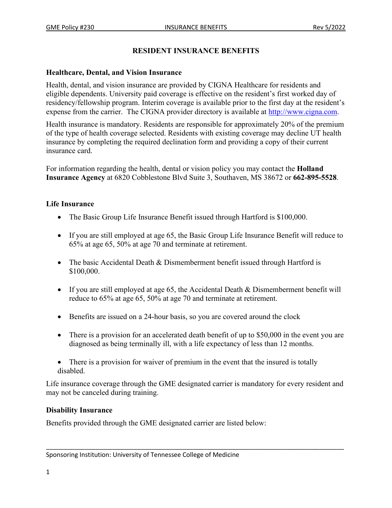## **RESIDENT INSURANCE BENEFITS**

## **Healthcare, Dental, and Vision Insurance**

Health, dental, and vision insurance are provided by CIGNA Healthcare for residents and eligible dependents. University paid coverage is effective on the resident's first worked day of residency/fellowship program. Interim coverage is available prior to the first day at the resident's expense from the carrier. The CIGNA provider directory is available at [http://www.cigna.com.](http://www.cigna.com/)

Health insurance is mandatory. Residents are responsible for approximately 20% of the premium of the type of health coverage selected. Residents with existing coverage may decline UT health insurance by completing the required declination form and providing a copy of their current insurance card.

For information regarding the health, dental or vision policy you may contact the **Holland Insurance Agency** at 6820 Cobblestone Blvd Suite 3, Southaven, MS 38672 or **662-895-5528**.

## **Life Insurance**

- The Basic Group Life Insurance Benefit issued through Hartford is \$100,000.
- If you are still employed at age 65, the Basic Group Life Insurance Benefit will reduce to 65% at age 65, 50% at age 70 and terminate at retirement.
- The basic Accidental Death & Dismemberment benefit issued through Hartford is \$100,000.
- If you are still employed at age 65, the Accidental Death & Dismemberment benefit will reduce to 65% at age 65, 50% at age 70 and terminate at retirement.
- Benefits are issued on a 24-hour basis, so you are covered around the clock
- There is a provision for an accelerated death benefit of up to \$50,000 in the event you are diagnosed as being terminally ill, with a life expectancy of less than 12 months.
- There is a provision for waiver of premium in the event that the insured is totally disabled.

Life insurance coverage through the GME designated carrier is mandatory for every resident and may not be canceled during training.

\_\_\_\_\_\_\_\_\_\_\_\_\_\_\_\_\_\_\_\_\_\_\_\_\_\_\_\_\_\_\_\_\_\_\_\_\_\_\_\_\_\_\_\_\_\_\_\_\_\_\_\_\_\_\_\_\_\_\_\_\_\_\_\_\_\_\_\_\_\_\_\_\_\_\_\_\_\_\_\_\_\_\_\_\_

## **Disability Insurance**

Benefits provided through the GME designated carrier are listed below:

Sponsoring Institution: University of Tennessee College of Medicine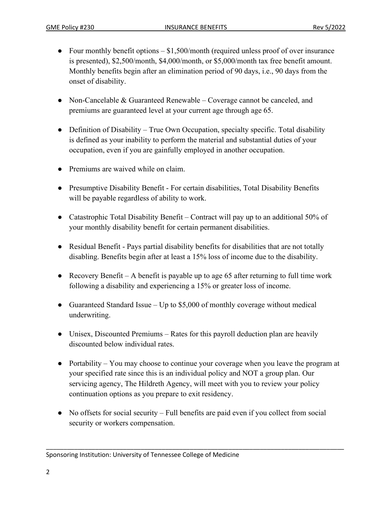- Four monthly benefit options  $$1,500/m$  onth (required unless proof of over insurance is presented), \$2,500/month, \$4,000/month, or \$5,000/month tax free benefit amount. Monthly benefits begin after an elimination period of 90 days, i.e., 90 days from the onset of disability.
- Non-Cancelable & Guaranteed Renewable Coverage cannot be canceled, and premiums are guaranteed level at your current age through age 65.
- Definition of Disability True Own Occupation, specialty specific. Total disability is defined as your inability to perform the material and substantial duties of your occupation, even if you are gainfully employed in another occupation.
- Premiums are waived while on claim.
- Presumptive Disability Benefit For certain disabilities, Total Disability Benefits will be payable regardless of ability to work.
- Catastrophic Total Disability Benefit Contract will pay up to an additional 50% of your monthly disability benefit for certain permanent disabilities.
- Residual Benefit Pays partial disability benefits for disabilities that are not totally disabling. Benefits begin after at least a 15% loss of income due to the disability.
- Recovery Benefit A benefit is payable up to age 65 after returning to full time work following a disability and experiencing a 15% or greater loss of income.
- Guaranteed Standard Issue Up to  $$5,000$  of monthly coverage without medical underwriting.
- Unisex, Discounted Premiums Rates for this payroll deduction plan are heavily discounted below individual rates.
- Portability You may choose to continue your coverage when you leave the program at your specified rate since this is an individual policy and NOT a group plan. Our servicing agency, The Hildreth Agency, will meet with you to review your policy continuation options as you prepare to exit residency.
- No offsets for social security Full benefits are paid even if you collect from social security or workers compensation.

\_\_\_\_\_\_\_\_\_\_\_\_\_\_\_\_\_\_\_\_\_\_\_\_\_\_\_\_\_\_\_\_\_\_\_\_\_\_\_\_\_\_\_\_\_\_\_\_\_\_\_\_\_\_\_\_\_\_\_\_\_\_\_\_\_\_\_\_\_\_\_\_\_\_\_\_\_\_\_\_\_\_\_\_\_

Sponsoring Institution: University of Tennessee College of Medicine